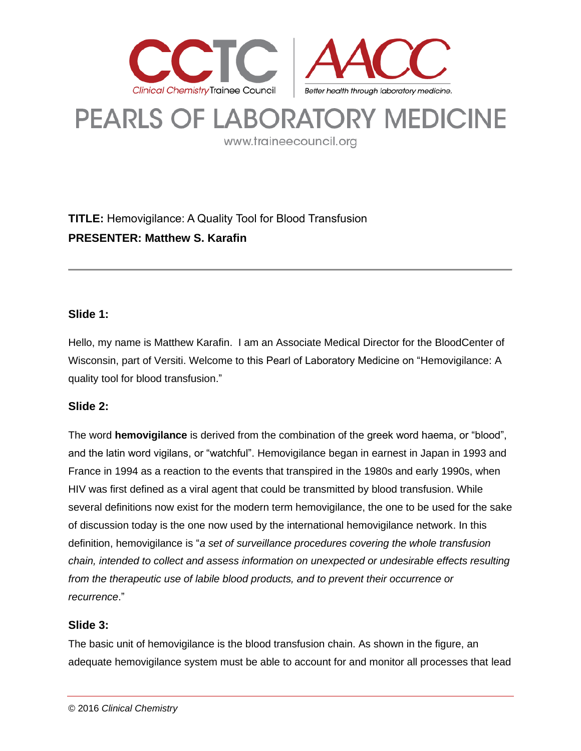

# **PEARLS OF LABORATORY MEDICINE**

www.traineecouncil.org

# **TITLE:** Hemovigilance: A Quality Tool for Blood Transfusion **PRESENTER: Matthew S. Karafin**

# **Slide 1:**

Hello, my name is Matthew Karafin. I am an Associate Medical Director for the BloodCenter of Wisconsin, part of Versiti. Welcome to this Pearl of Laboratory Medicine on "Hemovigilance: A quality tool for blood transfusion."

# **Slide 2:**

The word **hemovigilance** is derived from the combination of the greek word haema, or "blood", and the latin word vigilans, or "watchful". Hemovigilance began in earnest in Japan in 1993 and France in 1994 as a reaction to the events that transpired in the 1980s and early 1990s, when HIV was first defined as a viral agent that could be transmitted by blood transfusion. While several definitions now exist for the modern term hemovigilance, the one to be used for the sake of discussion today is the one now used by the international hemovigilance network. In this definition, hemovigilance is "*a set of surveillance procedures covering the whole transfusion chain, intended to collect and assess information on unexpected or undesirable effects resulting from the therapeutic use of labile blood products, and to prevent their occurrence or recurrence*."

# **Slide 3:**

The basic unit of hemovigilance is the blood transfusion chain. As shown in the figure, an adequate hemovigilance system must be able to account for and monitor all processes that lead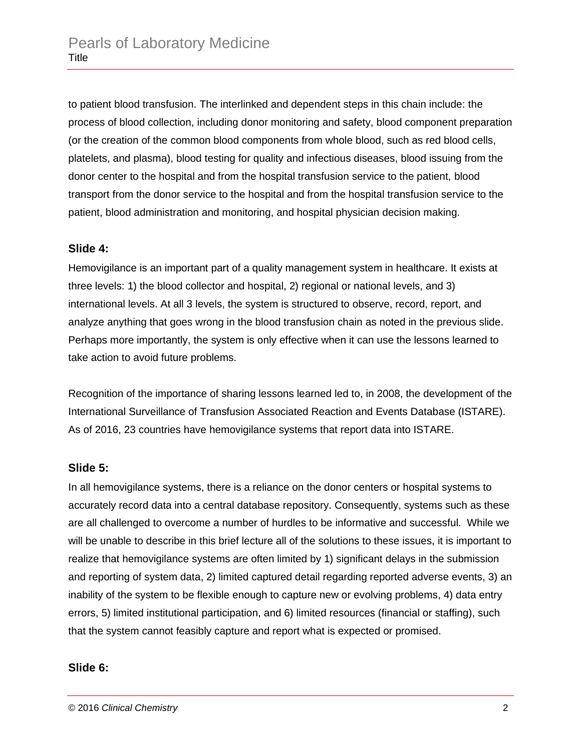to patient blood transfusion. The interlinked and dependent steps in this chain include: the process of blood collection, including donor monitoring and safety, blood component preparation (or the creation of the common blood components from whole blood, such as red blood cells, platelets, and plasma), blood testing for quality and infectious diseases, blood issuing from the donor center to the hospital and from the hospital transfusion service to the patient, blood transport from the donor service to the hospital and from the hospital transfusion service to the patient, blood administration and monitoring, and hospital physician decision making.

#### **Slide 4:**

Hemovigilance is an important part of a quality management system in healthcare. It exists at three levels: 1) the blood collector and hospital, 2) regional or national levels, and 3) international levels. At all 3 levels, the system is structured to observe, record, report, and analyze anything that goes wrong in the blood transfusion chain as noted in the previous slide. Perhaps more importantly, the system is only effective when it can use the lessons learned to take action to avoid future problems.

Recognition of the importance of sharing lessons learned led to, in 2008, the development of the International Surveillance of Transfusion Associated Reaction and Events Database (ISTARE). As of 2016, 23 countries have hemovigilance systems that report data into ISTARE.

#### **Slide 5:**

In all hemovigilance systems, there is a reliance on the donor centers or hospital systems to accurately record data into a central database repository. Consequently, systems such as these are all challenged to overcome a number of hurdles to be informative and successful. While we will be unable to describe in this brief lecture all of the solutions to these issues, it is important to realize that hemovigilance systems are often limited by 1) significant delays in the submission and reporting of system data, 2) limited captured detail regarding reported adverse events, 3) an inability of the system to be flexible enough to capture new or evolving problems, 4) data entry errors, 5) limited institutional participation, and 6) limited resources (financial or staffing), such that the system cannot feasibly capture and report what is expected or promised.

#### **Slide 6:**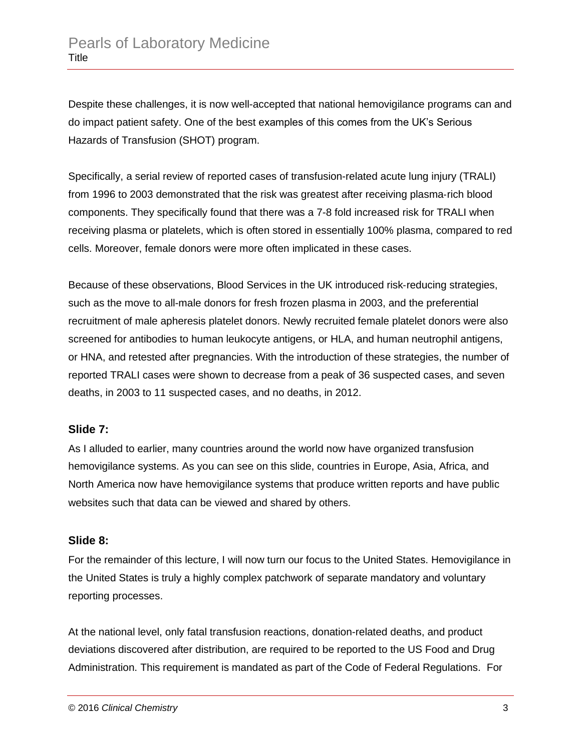Despite these challenges, it is now well-accepted that national hemovigilance programs can and do impact patient safety. One of the best examples of this comes from the UK's Serious Hazards of Transfusion (SHOT) program.

Specifically, a serial review of reported cases of transfusion-related acute lung injury (TRALI) from 1996 to 2003 demonstrated that the risk was greatest after receiving plasma‐rich blood components. They specifically found that there was a 7-8 fold increased risk for TRALI when receiving plasma or platelets, which is often stored in essentially 100% plasma, compared to red cells. Moreover, female donors were more often implicated in these cases.

Because of these observations, Blood Services in the UK introduced risk‐reducing strategies, such as the move to all-male donors for fresh frozen plasma in 2003, and the preferential recruitment of male apheresis platelet donors. Newly recruited female platelet donors were also screened for antibodies to human leukocyte antigens, or HLA, and human neutrophil antigens, or HNA, and retested after pregnancies. With the introduction of these strategies, the number of reported TRALI cases were shown to decrease from a peak of 36 suspected cases, and seven deaths, in 2003 to 11 suspected cases, and no deaths, in 2012.

# **Slide 7:**

As I alluded to earlier, many countries around the world now have organized transfusion hemovigilance systems. As you can see on this slide, countries in Europe, Asia, Africa, and North America now have hemovigilance systems that produce written reports and have public websites such that data can be viewed and shared by others.

# **Slide 8:**

For the remainder of this lecture, I will now turn our focus to the United States. Hemovigilance in the United States is truly a highly complex patchwork of separate mandatory and voluntary reporting processes.

At the national level, only fatal transfusion reactions, donation-related deaths, and product deviations discovered after distribution, are required to be reported to the US Food and Drug Administration. This requirement is mandated as part of the Code of Federal Regulations. For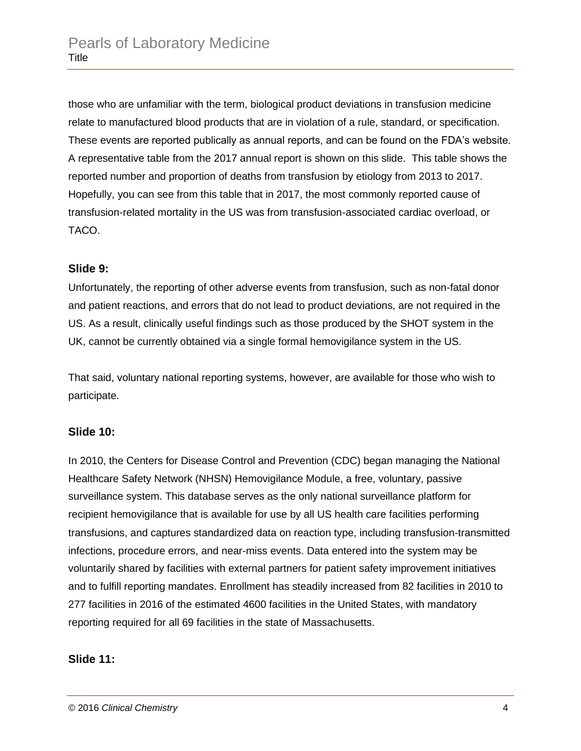those who are unfamiliar with the term, biological product deviations in transfusion medicine relate to manufactured blood products that are in violation of a rule, standard, or specification. These events are reported publically as annual reports, and can be found on the FDA's website. A representative table from the 2017 annual report is shown on this slide. This table shows the reported number and proportion of deaths from transfusion by etiology from 2013 to 2017. Hopefully, you can see from this table that in 2017, the most commonly reported cause of transfusion-related mortality in the US was from transfusion-associated cardiac overload, or TACO.

# **Slide 9:**

Unfortunately, the reporting of other adverse events from transfusion, such as non-fatal donor and patient reactions, and errors that do not lead to product deviations, are not required in the US. As a result, clinically useful findings such as those produced by the SHOT system in the UK, cannot be currently obtained via a single formal hemovigilance system in the US.

That said, voluntary national reporting systems, however, are available for those who wish to participate.

# **Slide 10:**

In 2010, the Centers for Disease Control and Prevention (CDC) began managing the National Healthcare Safety Network (NHSN) Hemovigilance Module, a free, voluntary, passive surveillance system. This database serves as the only national surveillance platform for recipient hemovigilance that is available for use by all US health care facilities performing transfusions, and captures standardized data on reaction type, including transfusion-transmitted infections, procedure errors, and near-miss events. Data entered into the system may be voluntarily shared by facilities with external partners for patient safety improvement initiatives and to fulfill reporting mandates. Enrollment has steadily increased from 82 facilities in 2010 to 277 facilities in 2016 of the estimated 4600 facilities in the United States, with mandatory reporting required for all 69 facilities in the state of Massachusetts.

# **Slide 11:**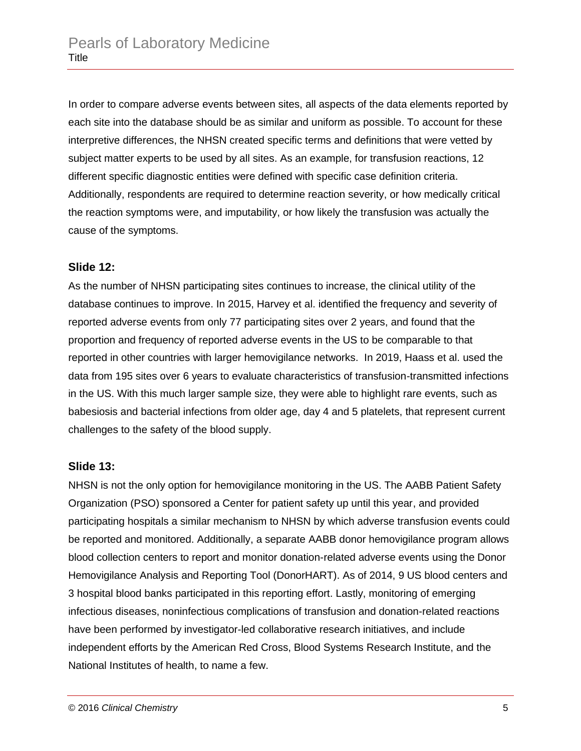In order to compare adverse events between sites, all aspects of the data elements reported by each site into the database should be as similar and uniform as possible. To account for these interpretive differences, the NHSN created specific terms and definitions that were vetted by subject matter experts to be used by all sites. As an example, for transfusion reactions, 12 different specific diagnostic entities were defined with specific case definition criteria. Additionally, respondents are required to determine reaction severity, or how medically critical the reaction symptoms were, and imputability, or how likely the transfusion was actually the cause of the symptoms.

#### **Slide 12:**

As the number of NHSN participating sites continues to increase, the clinical utility of the database continues to improve. In 2015, Harvey et al. identified the frequency and severity of reported adverse events from only 77 participating sites over 2 years, and found that the proportion and frequency of reported adverse events in the US to be comparable to that reported in other countries with larger hemovigilance networks. In 2019, Haass et al. used the data from 195 sites over 6 years to evaluate characteristics of transfusion-transmitted infections in the US. With this much larger sample size, they were able to highlight rare events, such as babesiosis and bacterial infections from older age, day 4 and 5 platelets, that represent current challenges to the safety of the blood supply.

#### **Slide 13:**

NHSN is not the only option for hemovigilance monitoring in the US. The AABB Patient Safety Organization (PSO) sponsored a Center for patient safety up until this year, and provided participating hospitals a similar mechanism to NHSN by which adverse transfusion events could be reported and monitored. Additionally, a separate AABB donor hemovigilance program allows blood collection centers to report and monitor donation-related adverse events using the Donor Hemovigilance Analysis and Reporting Tool (DonorHART). As of 2014, 9 US blood centers and 3 hospital blood banks participated in this reporting effort. Lastly, monitoring of emerging infectious diseases, noninfectious complications of transfusion and donation-related reactions have been performed by investigator-led collaborative research initiatives, and include independent efforts by the American Red Cross, Blood Systems Research Institute, and the National Institutes of health, to name a few.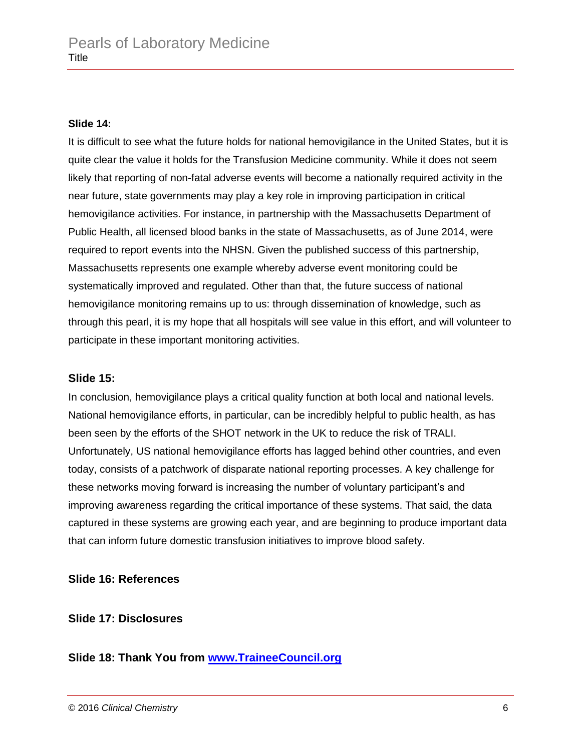#### **Slide 14:**

It is difficult to see what the future holds for national hemovigilance in the United States, but it is quite clear the value it holds for the Transfusion Medicine community. While it does not seem likely that reporting of non-fatal adverse events will become a nationally required activity in the near future, state governments may play a key role in improving participation in critical hemovigilance activities. For instance, in partnership with the Massachusetts Department of Public Health, all licensed blood banks in the state of Massachusetts, as of June 2014, were required to report events into the NHSN. Given the published success of this partnership, Massachusetts represents one example whereby adverse event monitoring could be systematically improved and regulated. Other than that, the future success of national hemovigilance monitoring remains up to us: through dissemination of knowledge, such as through this pearl, it is my hope that all hospitals will see value in this effort, and will volunteer to participate in these important monitoring activities.

#### **Slide 15:**

In conclusion, hemovigilance plays a critical quality function at both local and national levels. National hemovigilance efforts, in particular, can be incredibly helpful to public health, as has been seen by the efforts of the SHOT network in the UK to reduce the risk of TRALI. Unfortunately, US national hemovigilance efforts has lagged behind other countries, and even today, consists of a patchwork of disparate national reporting processes. A key challenge for these networks moving forward is increasing the number of voluntary participant's and improving awareness regarding the critical importance of these systems. That said, the data captured in these systems are growing each year, and are beginning to produce important data that can inform future domestic transfusion initiatives to improve blood safety.

# **Slide 16: References**

**Slide 17: Disclosures**

**Slide 18: Thank You from [www.TraineeCouncil.org](http://www.traineecouncil.org/)**